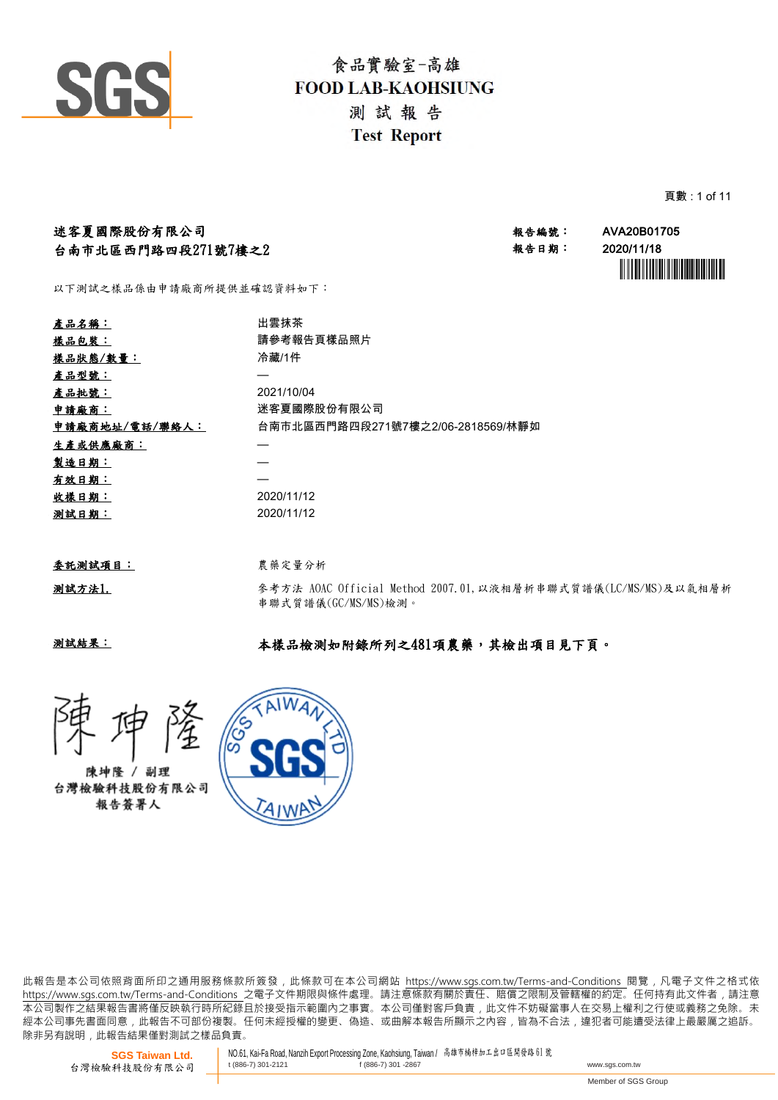

頁數 : 1 of 11

| 迷客夏國際股份有限公司                                                                                                                  | 報告編號:                             | AVA20B01705 |
|------------------------------------------------------------------------------------------------------------------------------|-----------------------------------|-------------|
|                                                                                                                              | 報告日期:                             | 2020/11/18  |
|                                                                                                                              |                                   |             |
| 台南市北區西門路四段271號7樓之2<br>以下測試之樣品係由申請廠商所提供並確認資料如下:<br>出雲抹茶<br>產品名稱:<br>請參考報告頁樣品照片<br>樣品包裝:<br>冷藏/1件<br>2021/10/04<br>迷客夏國際股份有限公司 |                                   |             |
|                                                                                                                              |                                   |             |
|                                                                                                                              |                                   |             |
| 樣品狀態/數量:                                                                                                                     |                                   |             |
| 產品型號:                                                                                                                        |                                   |             |
| 產品批號:                                                                                                                        |                                   |             |
| 申請廠商:                                                                                                                        |                                   |             |
| 申請廠商地址/電話/聯絡人:                                                                                                               | 台南市北區西門路四段271號7樓之2/06-2818569/林靜如 |             |

| 委託測試項目 |  |
|--------|--|
|        |  |

生產或供應廠商: 製造日期: —

有效日期: —

收樣日期: 2020/11/12 測試日期: 2020/11/12

測試方法1.

參考方法 AOAC Official Method 2007.01,以液相層析串聯式質譜儀(LC/MS/MS)及以氣相層析 串聯式質譜儀(GC/MS/MS)檢測。

測試結果:

### 本樣品檢測如附錄所列之481項農藥,其檢出項目見下頁。



陳坤隆 / 副理 台灣檢驗科技股份有限公司 報告答署人



農藥定量分析

此報告是本公司依照背面所印之通用服務條款所簽發,此條款可在本公司網站 https://www.sgs.com.tw/Terms-and-Conditions 閱覽,凡電子文件之格式依 https://www.sas.com.tw/Terms-and-Conditions 之電子文件期限與條件處理。請注意條款有關於責任、賠償之限制及管轄權的約定。任何持有此文件者,請注意 .<br> 本公司製作之結果報告書將僅反映執行時所紀錄且於接受指示範圍內之事實。本公司僅對客戶負責, 此文件不妨礙當事人在交易上權利之行使或義務之免除。未 經 本 公 司 事 先 書 面 同 意 , 此 報 告 不 可 部 份 複 製 。 任 何 未 經 授 權 的 變 更 、 偽 造 、 或 曲 解 本 報 告 所 顯 示 之 內 容 , 皆 為 不 合 法 , 違 犯 者 可 能 遭 受 法 律 上 最 嚴 厲 之 追 訴 。 除非另有說明, 此報告結果僅對測試之樣品負責。

**SGS Taiwan Ltd.** 台灣檢驗科技股份有限公司 NO.61, Kai-Fa Road, Nanzih Export Processing Zone, Kaohsiung, Taiwan / 高雄市楠梓加工出口區開發路 <sup>61</sup> <sup>號</sup> t (886-7) 301-2121 f (886-7) 301 -2867 www.sgs.com.tw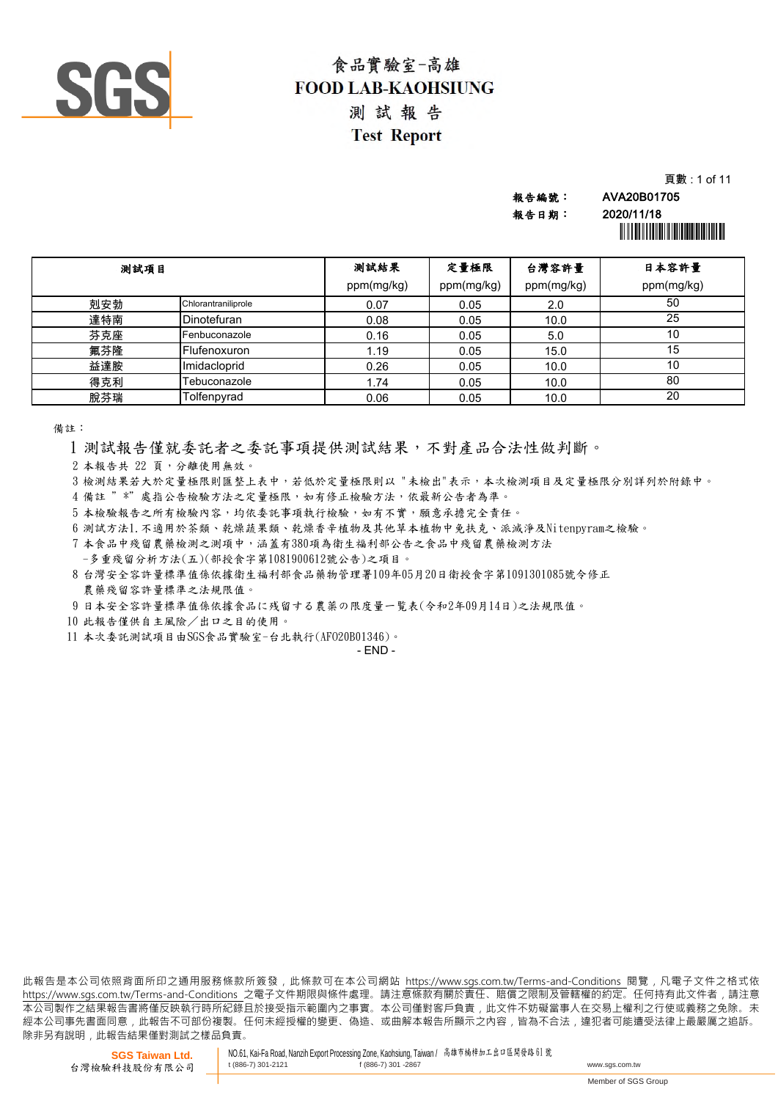

|       | 頁數 : 1 of 11                          |
|-------|---------------------------------------|
| 報告編號: | AVA20B01705                           |
| 報告日期: | 2020/11/18                            |
|       | <u> Hill Hill Hill Hill Hill Hill</u> |

| 测試項目 |                     | 测試結果       | 定量極限       | 台灣容許量      | 日本容許量      |
|------|---------------------|------------|------------|------------|------------|
|      |                     | ppm(mg/kg) | ppm(mg/kg) | ppm(mg/kg) | ppm(mg/kg) |
| 剋安勃  | Chlorantraniliprole | 0.07       | 0.05       | 2.0        | 50         |
| 達特南  | Dinotefuran         | 0.08       | 0.05       | 10.0       | 25         |
| 芬克座  | Fenbuconazole       | 0.16       | 0.05       | 5.0        | 10         |
| 氟芬隆  | Flufenoxuron        | 1.19       | 0.05       | 15.0       | 15         |
| 益達胺  | Imidacloprid        | 0.26       | 0.05       | 10.0       | 10         |
| 得克利  | <b>Febuconazole</b> | 1.74       | 0.05       | 10.0       | 80         |
| 脫芬瑞  | Tolfenpyrad         | 0.06       | 0.05       | 10.0       | 20         |

備註:

1 測試報告僅就委託者之委託事項提供測試結果,不對產品合法性做判斷。

2 本報告共 22 頁,分離使用無效。

3 檢測結果若大於定量極限則匯整上表中,若低於定量極限則以 "未檢出"表示,本次檢測項目及定量極限分別詳列於附錄中。

- 4 備註 "\*"處指公告檢驗方法之定量極限,如有修正檢驗方法,依最新公告者為準。
- 5 本檢驗報告之所有檢驗內容,均依委託事項執行檢驗,如有不實,願意承擔完全責任。

6 測試方法1.不適用於茶類、乾燥蔬果類、乾燥香辛植物及其他草本植物中免扶克、派滅淨及Nitenpyram之檢驗。

7 本食品中殘留農藥檢測之測項中,涵蓋有380項為衛生福利部公告之食品中殘留農藥檢測方法

-多重殘留分析方法(五)(部授食字第1081900612號公告)之項目。

8 台灣安全容許量標準值係依據衛生福利部食品藥物管理署109年05月20日衛授食字第1091301085號令修正 農藥殘留容許量標準之法規限值。

9 日本安全容許量標準值係依據食品に残留する農薬の限度量一覧表(令和2年09月14日)之法規限值。

- 10 此報告僅供自主風險/出口之目的使用。
- 11 本次委託測試項目由SGS食品實驗室-台北執行(AFO20B01346)。

- END -

此報告是本公司依照背面所印之通用服務條款所簽發,此條款可在本公司網站 https://www.sgs.com.tw/Terms-and-Conditions 閱覽,凡電子文件之格式依 https://www.sas.com.tw/Terms-and-Conditions 之電子文件期限與條件處理。請注意條款有關於責任、賠償之限制及管轄權的約定。任何持有此文件者,請注意 .<br> 本公司製作之結果報告書將僅反映執行時所紀錄且於接受指示範圍內之事實。本公司僅對客戶負責, 此文件不妨礙當事人在交易上權利之行使或義務之免除。未 經本公司事先書面同意,此報告不可部份複製。任何未經授權的變更、偽造、或曲解本報告所顯示之內容,皆為不合法,違犯者可能遭受法律上最嚴厲之追訴。 除非另有說明, 此報告結果僅對測試之樣品負責。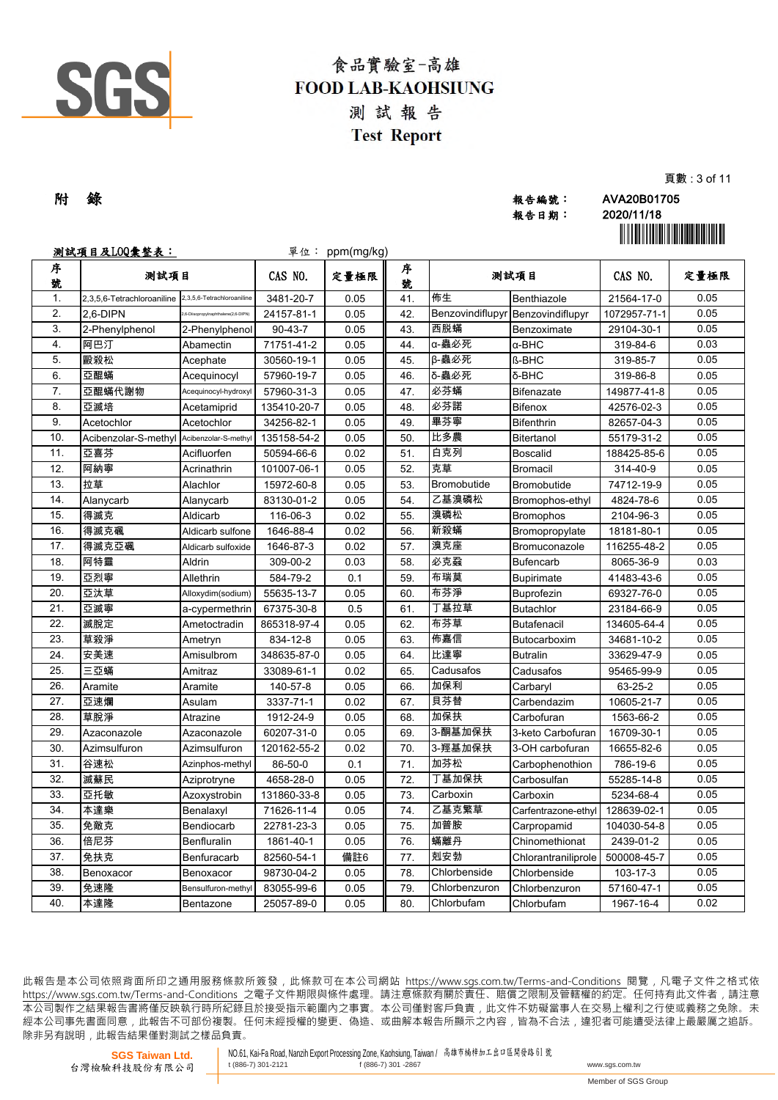

| 附 錄 |       | AVA20B01705                               |
|-----|-------|-------------------------------------------|
|     | 報告編號: |                                           |
|     | 報告日期: | 2020/11/18                                |
|     |       | <u> Ali ili ali ili a ali ali ili ali</u> |

報告日期: 2020/11/18

頁數 : 3 of 11

|        | <u>測試項目及L00彙整表:</u>                       |                                     |               | 單位: ppm(mg/kg) |        |                  |                     |              | <u> Hillingan ma'lumot</u> |
|--------|-------------------------------------------|-------------------------------------|---------------|----------------|--------|------------------|---------------------|--------------|----------------------------|
| 序<br>號 | 測試項目                                      |                                     | CAS NO.       | 定量極限           | 序<br>號 | 测試項目             |                     | CAS NO.      | 定量極限                       |
| 1.     | 2,3,5,6-Tetrachloroaniline                | 2,3,5,6-Tetrachloroaniline          | 3481-20-7     | 0.05           | 41.    | 佈生               | Benthiazole         | 21564-17-0   | 0.05                       |
| 2.     | 2.6-DIPN                                  | .6-Diisopropylnaphthalene(2,6-DIPN) | 24157-81-1    | 0.05           | 42.    | Benzovindiflupyr | Benzovindiflupyr    | 1072957-71-1 | 0.05                       |
| 3.     | 2-Phenylphenol                            | 2-Phenylphenol                      | $90 - 43 - 7$ | 0.05           | 43.    | 西脱蟎              | Benzoximate         | 29104-30-1   | 0.05                       |
| 4.     | 阿巴汀                                       | Abamectin                           | 71751-41-2    | 0.05           | 44.    | α-蟲必死            | $\alpha$ -BHC       | 319-84-6     | 0.03                       |
| 5.     | 毆殺松                                       | Acephate                            | 30560-19-1    | 0.05           | 45.    | β-蟲必死            | <b>ß-BHC</b>        | 319-85-7     | 0.05                       |
| 6.     | 亞醌蟎                                       | Acequinocyl                         | 57960-19-7    | 0.05           | 46.    | δ-蟲必死            | δ-BHC               | 319-86-8     | 0.05                       |
| 7.     | 亞醌蟎代謝物                                    | Acequinocyl-hydroxyl                | 57960-31-3    | 0.05           | 47.    | 必芬蟎              | <b>Bifenazate</b>   | 149877-41-8  | 0.05                       |
| 8.     | 亞滅培                                       | Acetamiprid                         | 135410-20-7   | 0.05           | 48.    | 必芬諾              | <b>Bifenox</b>      | 42576-02-3   | 0.05                       |
| 9.     | Acetochlor                                | Acetochlor                          | 34256-82-1    | 0.05           | 49.    | 畢芬寧              | <b>Bifenthrin</b>   | 82657-04-3   | 0.05                       |
| 10.    | Acibenzolar-S-methyl Acibenzolar-S-methyl |                                     | 135158-54-2   | 0.05           | 50.    | 比多農              | Bitertanol          | 55179-31-2   | 0.05                       |
| 11.    | 亞喜芬                                       | Acifluorfen                         | 50594-66-6    | 0.02           | 51.    | 白克列              | Boscalid            | 188425-85-6  | 0.05                       |
| 12.    | 阿納寧                                       | Acrinathrin                         | 101007-06-1   | 0.05           | 52.    | 克草               | <b>Bromacil</b>     | 314-40-9     | 0.05                       |
| 13.    | 拉草                                        | Alachlor                            | 15972-60-8    | 0.05           | 53.    | Bromobutide      | Bromobutide         | 74712-19-9   | 0.05                       |
| 14.    | Alanycarb                                 | Alanycarb                           | 83130-01-2    | 0.05           | 54.    | 乙基溴磷松            | Bromophos-ethyl     | 4824-78-6    | 0.05                       |
| 15.    | 得滅克                                       | Aldicarb                            | 116-06-3      | 0.02           | 55.    | 溴磷松              | Bromophos           | 2104-96-3    | 0.05                       |
| 16.    | 得滅克碸                                      | Aldicarb sulfone                    | 1646-88-4     | 0.02           | 56.    | 新殺蟎              | Bromopropylate      | 18181-80-1   | 0.05                       |
| 17.    | 得滅克亞碸                                     | Aldicarb sulfoxide                  | 1646-87-3     | 0.02           | 57.    | 溴克座              | Bromuconazole       | 116255-48-2  | 0.05                       |
| 18.    | 阿特靈                                       | <b>Aldrin</b>                       | 309-00-2      | 0.03           | 58.    | 必克蝨              | <b>Bufencarb</b>    | 8065-36-9    | 0.03                       |
| 19.    | 亞烈寧                                       | Allethrin                           | 584-79-2      | 0.1            | 59.    | 布瑞莫              | <b>Bupirimate</b>   | 41483-43-6   | 0.05                       |
| 20.    | 亞汰草                                       | Alloxydim(sodium)                   | 55635-13-7    | 0.05           | 60.    | 布芬淨              | Buprofezin          | 69327-76-0   | 0.05                       |
| 21.    | 亞滅寧                                       | a-cypermethrin                      | 67375-30-8    | 0.5            | 61.    | 丁基拉草             | <b>Butachlor</b>    | 23184-66-9   | 0.05                       |
| 22.    | 滅脫定                                       | Ametoctradin                        | 865318-97-4   | 0.05           | 62.    | 布芬草              | <b>Butafenacil</b>  | 134605-64-4  | 0.05                       |
| 23.    | 草殺淨                                       | Ametryn                             | 834-12-8      | 0.05           | 63.    | 佈嘉信              | Butocarboxim        | 34681-10-2   | 0.05                       |
| 24.    | 安美速                                       | Amisulbrom                          | 348635-87-0   | 0.05           | 64.    | 比達寧              | <b>Butralin</b>     | 33629-47-9   | 0.05                       |
| 25.    | 三亞蟎                                       | Amitraz                             | 33089-61-1    | 0.02           | 65.    | Cadusafos        | Cadusafos           | 95465-99-9   | 0.05                       |
| 26.    | Aramite                                   | Aramite                             | 140-57-8      | 0.05           | 66.    | 加保利              | Carbaryl            | 63-25-2      | 0.05                       |
| 27.    | 亞速爛                                       | Asulam                              | 3337-71-1     | 0.02           | 67.    | 貝芬替              | Carbendazim         | 10605-21-7   | 0.05                       |
| 28.    | 草脫淨                                       | Atrazine                            | 1912-24-9     | 0.05           | 68.    | 加保扶              | Carbofuran          | 1563-66-2    | 0.05                       |
| 29.    | Azaconazole                               | Azaconazole                         | 60207-31-0    | 0.05           | 69.    | 3-酮基加保扶          | 3-keto Carbofuran   | 16709-30-1   | 0.05                       |
| 30.    | Azimsulfuron                              | Azimsulfuron                        | 120162-55-2   | 0.02           | 70.    | 3-羥基加保扶          | 3-OH carbofuran     | 16655-82-6   | 0.05                       |
| 31.    | 谷速松                                       | Azinphos-methyl                     | 86-50-0       | 0.1            | 71.    | 加芬松              | Carbophenothion     | 786-19-6     | 0.05                       |
| 32.    | 滅蘇民                                       | Aziprotryne                         | 4658-28-0     | 0.05           | 72.    | 丁基加保扶            | Carbosulfan         | 55285-14-8   | 0.05                       |
| 33.    | 亞托敏                                       | Azoxystrobin                        | 131860-33-8   | 0.05           | 73.    | Carboxin         | Carboxin            | 5234-68-4    | 0.05                       |
| 34.    | 本達樂                                       | Benalaxyl                           | 71626-11-4    | 0.05           | 74.    | 乙基克繁草            | Carfentrazone-ethyl | 128639-02-1  | 0.05                       |
| 35.    | 免敵克                                       | Bendiocarb                          | 22781-23-3    | 0.05           | 75.    | 加普胺              | Carpropamid         | 104030-54-8  | 0.05                       |
| 36.    | 倍尼芬                                       | Benfluralin                         | 1861-40-1     | 0.05           | 76.    | 蟎離丹              | Chinomethionat      | 2439-01-2    | 0.05                       |
| 37.    | 免扶克                                       | Benfuracarb                         | 82560-54-1    | 備註6            | 77.    | 剋安勃              | Chlorantraniliprole | 500008-45-7  | 0.05                       |
| 38.    | Benoxacor                                 | Benoxacor                           | 98730-04-2    | 0.05           | 78.    | Chlorbenside     | Chlorbenside        | 103-17-3     | 0.05                       |
| 39.    | 免速隆                                       | Bensulfuron-methyl                  | 83055-99-6    | 0.05           | 79.    | Chlorbenzuron    | Chlorbenzuron       | 57160-47-1   | 0.05                       |
| 40.    | 本達隆                                       | Bentazone                           | 25057-89-0    | 0.05           | 80.    | Chlorbufam       | Chlorbufam          | 1967-16-4    | 0.02                       |

此報告是本公司依照背面所印之通用服務條款所簽發,此條款可在本公司網站 https://www.sgs.com.tw/Terms-and-Conditions 閱覽,凡電子文件之格式依 https://www.sqs.com.tw/Terms-and-Conditions 之電子文件期限與條件處理。請注意條款有關於責任、賠償之限制及管轄權的約定。任何持有此文件者,請注意 本 公 司 製 作 之 結 果 報 告 書 將 僅 反 映 執 行 時 所 紀 錄 且 於 接 受 指 示 範 圍 內 之 事 實 。 本 公 司 僅 對 客 戶 負 責 , 此 文 件 不 妨 礙 當 事 人 在 交 易 上 權 利 之 行 使 或 義 務 之 免 除 。 未 經 本 公 司 事 先 書 面 同 意 , 此 報 告 不 可 部 份 複 製 。 任 何 未 經 授 權 的 變 更 、 偽 造 、 或 曲 解 本 報 告 所 顯 示 之 內 容 , 皆 為 不 合 法 , 違 犯 者 可 能 遭 受 法 律 上 最 嚴 厲 之 追 訴 。 除非另有說明, 此報告結果僅對測試之樣品負責。

**SGS Taiwan Ltd.** 台灣檢驗科技股份有限公司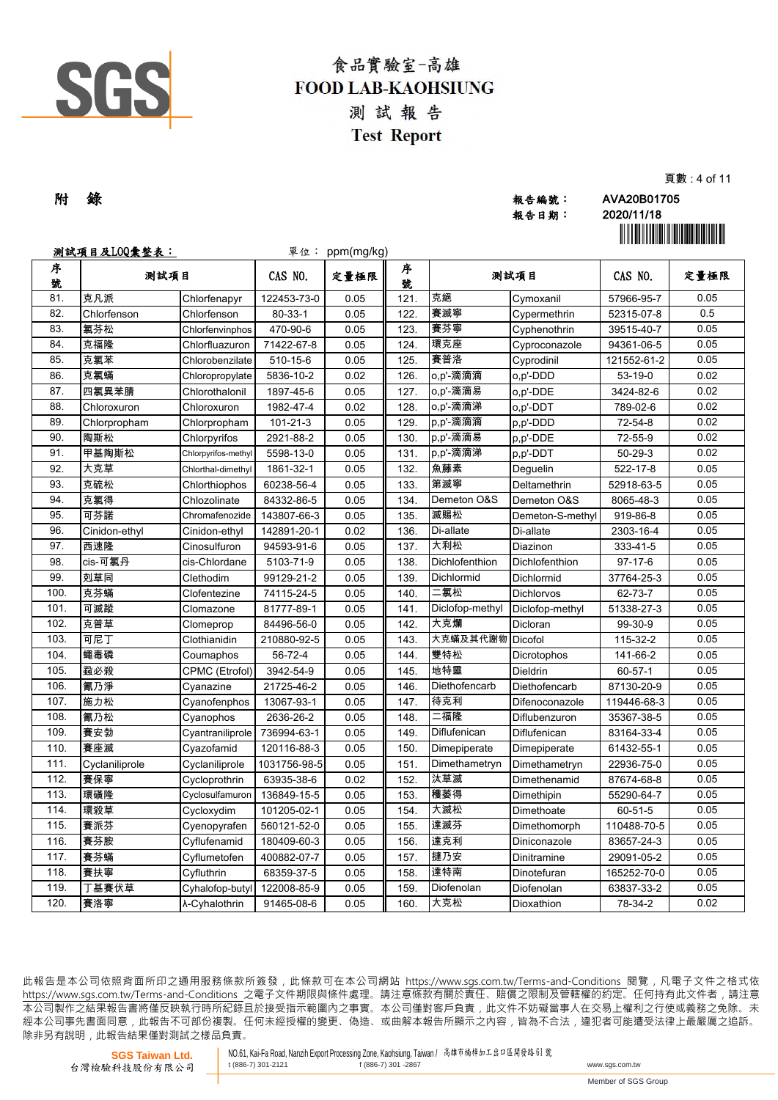

| 附 錄 | 報告編號: | AVA20B01705 |
|-----|-------|-------------|
|     | 報告日期: | 2020/11/18  |

20/11/18

頁數 : 4 of 11

|        | <u>測試項目及L00彙整表:</u> |                     |                | 單位: ppm(mg/kg) |        |                 |                   |               | <u> Hill Hill Hill Hill Hill Hill</u> |
|--------|---------------------|---------------------|----------------|----------------|--------|-----------------|-------------------|---------------|---------------------------------------|
| 序<br>號 | 测試項目                |                     | CAS NO.        | 定量極限           | 序<br>號 | 测試項目            |                   | CAS NO.       | 定量極限                                  |
| 81.    | 克凡派                 | Chlorfenapyr        | 122453-73-0    | 0.05           | 121.   | 克絕              | Cymoxanil         | 57966-95-7    | 0.05                                  |
| 82.    | Chlorfenson         | Chlorfenson         | $80 - 33 - 1$  | 0.05           | 122.   | 賽滅寧             | Cypermethrin      | 52315-07-8    | 0.5                                   |
| 83.    | 氯芬松                 | Chlorfenvinphos     | 470-90-6       | 0.05           | 123.   | 賽芬寧             | Cyphenothrin      | 39515-40-7    | 0.05                                  |
| 84.    | 克福隆                 | Chlorfluazuron      | 71422-67-8     | 0.05           | 124.   | 環克座             | Cyproconazole     | 94361-06-5    | 0.05                                  |
| 85.    | 克氯苯                 | Chlorobenzilate     | 510-15-6       | 0.05           | 125.   | 賽普洛             | Cyprodinil        | 121552-61-2   | 0.05                                  |
| 86.    | 克氯蟎                 | Chloropropylate     | 5836-10-2      | 0.02           | 126.   | o,p'-滴滴滴        | o,p'-DDD          | $53-19-0$     | 0.02                                  |
| 87.    | 四氯異苯腈               | Chlorothalonil      | 1897-45-6      | 0.05           | 127.   | o,p'-滴滴易        | o,p'-DDE          | 3424-82-6     | 0.02                                  |
| 88.    | Chloroxuron         | Chloroxuron         | 1982-47-4      | 0.02           | 128.   | o,p'-滴滴涕        | o,p'-DDT          | 789-02-6      | 0.02                                  |
| 89.    | Chlorpropham        | Chlorpropham        | $101 - 21 - 3$ | 0.05           | 129.   | p,p'-滴滴滴        | p,p'-DDD          | 72-54-8       | 0.02                                  |
| 90.    | 陶斯松                 | Chlorpyrifos        | 2921-88-2      | 0.05           | 130.   | p,p'-滴滴易        | $p, p'$ -DDE      | 72-55-9       | 0.02                                  |
| 91.    | 甲基陶斯松               | Chlorpyrifos-methyl | 5598-13-0      | 0.05           | 131.   | p,p'-滴滴涕        | p,p'-DDT          | $50 - 29 - 3$ | 0.02                                  |
| 92.    | 大克草                 | Chlorthal-dimethyl  | 1861-32-1      | 0.05           | 132.   | 魚藤素             | Deguelin          | 522-17-8      | 0.05                                  |
| 93.    | 克硫松                 | Chlorthiophos       | 60238-56-4     | 0.05           | 133.   | 第滅寧             | Deltamethrin      | 52918-63-5    | 0.05                                  |
| 94.    | 克氯得                 | Chlozolinate        | 84332-86-5     | 0.05           | 134.   | Demeton O&S     | Demeton O&S       | 8065-48-3     | 0.05                                  |
| 95.    | 可芬諾                 | Chromafenozide      | 143807-66-3    | 0.05           | 135.   | 滅賜松             | Demeton-S-methyl  | 919-86-8      | 0.05                                  |
| 96.    | Cinidon-ethyl       | Cinidon-ethyl       | 142891-20-1    | 0.02           | 136.   | Di-allate       | Di-allate         | 2303-16-4     | 0.05                                  |
| 97.    | 西速隆                 | Cinosulfuron        | 94593-91-6     | 0.05           | 137.   | 大利松             | Diazinon          | 333-41-5      | 0.05                                  |
| 98.    | cis-可氯丹             | cis-Chlordane       | 5103-71-9      | 0.05           | 138.   | Dichlofenthion  | Dichlofenthion    | $97-17-6$     | 0.05                                  |
| 99.    | 剋草同                 | Clethodim           | 99129-21-2     | 0.05           | 139.   | Dichlormid      | Dichlormid        | 37764-25-3    | 0.05                                  |
| 100.   | 克芬蟎                 | Clofentezine        | 74115-24-5     | 0.05           | 140.   | 二氯松             | <b>Dichlorvos</b> | 62-73-7       | 0.05                                  |
| 101.   | 可滅蹤                 | Clomazone           | 81777-89-1     | 0.05           | 141.   | Diclofop-methyl | Diclofop-methyl   | 51338-27-3    | 0.05                                  |
| 102.   | 克普草                 | Clomeprop           | 84496-56-0     | 0.05           | 142.   | 大克爛             | Dicloran          | 99-30-9       | 0.05                                  |
| 103.   | 可尼丁                 | Clothianidin        | 210880-92-5    | 0.05           | 143.   | 大克蟎及其代謝物        | Dicofol           | 115-32-2      | 0.05                                  |
| 104.   | 蠅毒磷                 | Coumaphos           | 56-72-4        | 0.05           | 144.   | 雙特松             | Dicrotophos       | 141-66-2      | 0.05                                  |
| 105.   | 蝨必殺                 | CPMC (Etrofol)      | 3942-54-9      | 0.05           | 145.   | 地特靈             | <b>Dieldrin</b>   | $60 - 57 - 1$ | 0.05                                  |
| 106.   | 氰乃淨                 | Cyanazine           | 21725-46-2     | 0.05           | 146.   | Diethofencarb   | Diethofencarb     | 87130-20-9    | 0.05                                  |
| 107.   | 施力松                 | Cyanofenphos        | 13067-93-1     | 0.05           | 147.   | 待克利             | Difenoconazole    | 119446-68-3   | 0.05                                  |
| 108.   | 氰乃松                 | Cyanophos           | 2636-26-2      | 0.05           | 148.   | 二福隆             | Diflubenzuron     | 35367-38-5    | 0.05                                  |
| 109.   | 賽安勃                 | Cyantraniliprole    | 736994-63-1    | 0.05           | 149.   | Diflufenican    | Diflufenican      | 83164-33-4    | 0.05                                  |
| 110.   | 賽座滅                 | Cyazofamid          | 120116-88-3    | 0.05           | 150.   | Dimepiperate    | Dimepiperate      | 61432-55-1    | 0.05                                  |
| 111.   | Cyclaniliprole      | Cyclaniliprole      | 1031756-98-5   | 0.05           | 151.   | Dimethametryn   | Dimethametryn     | 22936-75-0    | 0.05                                  |
| 112.   | 賽保寧                 | Cycloprothrin       | 63935-38-6     | 0.02           | 152.   | 汰草滅             | Dimethenamid      | 87674-68-8    | 0.05                                  |
| 113.   | 環磺隆                 | Cyclosulfamuron     | 136849-15-5    | 0.05           | 153.   | 穫萎得             | Dimethipin        | 55290-64-7    | 0.05                                  |
| 114.   | 環殺草                 | Cycloxydim          | 101205-02-1    | 0.05           | 154.   | 大滅松             | Dimethoate        | 60-51-5       | 0.05                                  |
| 115.   | 賽派芬                 | Cyenopyrafen        | 560121-52-0    | 0.05           | 155.   | 達滅芬             | Dimethomorph      | 110488-70-5   | 0.05                                  |
| 116.   | 賽芬胺                 | Cyflufenamid        | 180409-60-3    | 0.05           | 156.   | 達克利             | Diniconazole      | 83657-24-3    | 0.05                                  |
| 117.   | 賽芬蟎                 | Cyflumetofen        | 400882-07-7    | 0.05           | 157.   | 撻乃安             | Dinitramine       | 29091-05-2    | 0.05                                  |
| 118.   | 賽扶寧                 | Cyfluthrin          | 68359-37-5     | 0.05           | 158.   | 達特南             | Dinotefuran       | 165252-70-0   | 0.05                                  |
| 119.   | 丁基賽伏草               | Cyhalofop-butyl     | 122008-85-9    | 0.05           | 159.   | Diofenolan      | Diofenolan        | 63837-33-2    | 0.05                                  |
| 120.   | 賽洛寧                 | λ-Cyhalothrin       | 91465-08-6     | 0.05           | 160.   | 大克松             | Dioxathion        | 78-34-2       | 0.02                                  |

此報告是本公司依照背面所印之通用服務條款所簽發,此條款可在本公司網站 https://www.sgs.com.tw/Terms-and-Conditions 閱覽,凡電子文件之格式依 https://www.sqs.com.tw/Terms-and-Conditions 之電子文件期限與條件處理。請注意條款有關於責任、賠償之限制及管轄權的約定。任何持有此文件者,請注意 本 公 司 製 作 之 結 果 報 告 書 將 僅 反 映 執 行 時 所 紀 錄 且 於 接 受 指 示 範 圍 內 之 事 實 。 本 公 司 僅 對 客 戶 負 責 , 此 文 件 不 妨 礙 當 事 人 在 交 易 上 權 利 之 行 使 或 義 務 之 免 除 。 未 經 本 公 司 事 先 書 面 同 意 , 此 報 告 不 可 部 份 複 製 。 任 何 未 經 授 權 的 變 更 、 偽 造 、 或 曲 解 本 報 告 所 顯 示 之 內 容 , 皆 為 不 合 法 , 違 犯 者 可 能 遭 受 法 律 上 最 嚴 厲 之 追 訴 。 除非另有說明, 此報告結果僅對測試之樣品負責。

**SGS Taiwan Ltd.** 台灣檢驗科技股份有限公司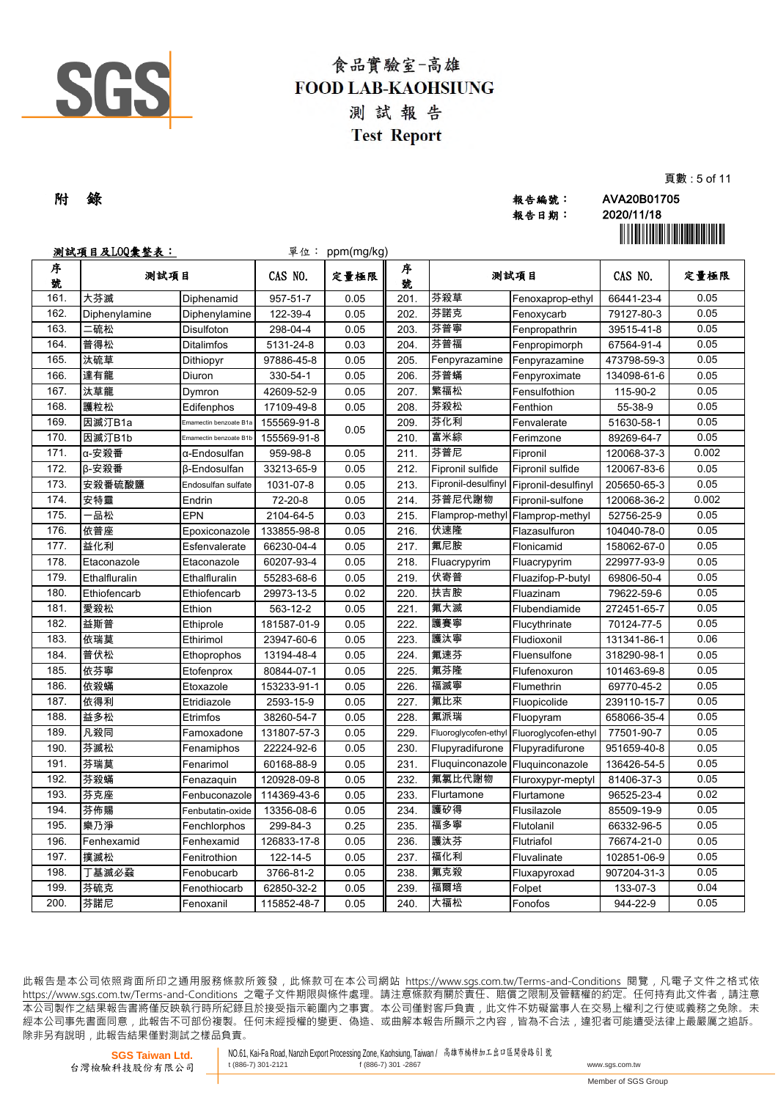

| 附 錄 | 報告編號: | AVA20B01705                               |
|-----|-------|-------------------------------------------|
|     | 報告日期: | 2020/11/18                                |
|     |       | <u> Ali ili ali ili a ali ali ili ali</u> |

頁數 : 5 of 11

|        | <u>測試項目及L00彙整表:</u> |                        | 單位:         | ppm(mg/kg) |        |                      |                                         |             | <u> Hillingan ma'lumot</u> |
|--------|---------------------|------------------------|-------------|------------|--------|----------------------|-----------------------------------------|-------------|----------------------------|
| 序<br>號 | 测試項目                |                        | CAS NO.     | 定量極限       | 序<br>號 | 测試項目                 |                                         | CAS NO.     | 定量極限                       |
| 161.   | 大芬滅                 | Diphenamid             | 957-51-7    | 0.05       | 201.   | 芬殺草                  | Fenoxaprop-ethyl                        | 66441-23-4  | 0.05                       |
| 162.   | Diphenylamine       | Diphenylamine          | 122-39-4    | 0.05       | 202.   | 芬諾克                  | Fenoxycarb                              | 79127-80-3  | 0.05                       |
| 163.   | 二硫松                 | Disulfoton             | 298-04-4    | 0.05       | 203.   | 芬普寧                  | Fenpropathrin                           | 39515-41-8  | 0.05                       |
| 164.   | 普得松                 | <b>Ditalimfos</b>      | 5131-24-8   | 0.03       | 204.   | 芬普福                  | Fenpropimorph                           | 67564-91-4  | 0.05                       |
| 165.   | 汰硫草                 | Dithiopyr              | 97886-45-8  | 0.05       | 205.   | Fenpyrazamine        | Fenpyrazamine                           | 473798-59-3 | 0.05                       |
| 166.   | 達有龍                 | <b>Diuron</b>          | 330-54-1    | 0.05       | 206.   | 芬普蟎                  | Fenpyroximate                           | 134098-61-6 | 0.05                       |
| 167.   | 汰草龍                 | Dymron                 | 42609-52-9  | 0.05       | 207.   | 繁福松                  | Fensulfothion                           | 115-90-2    | 0.05                       |
| 168.   | 護粒松                 | Edifenphos             | 17109-49-8  | 0.05       | 208.   | 芬殺松                  | Fenthion                                | 55-38-9     | 0.05                       |
| 169.   | 因滅汀B1a              | Emamectin benzoate B1a | 155569-91-8 | 0.05       | 209.   | 芬化利                  | Fenvalerate                             | 51630-58-1  | 0.05                       |
| 170.   | 因滅汀B1b              | Emamectin benzoate B1b | 155569-91-8 |            | 210.   | 富米綜                  | Ferimzone                               | 89269-64-7  | 0.05                       |
| 171.   | α-安殺番               | α-Endosulfan           | 959-98-8    | 0.05       | 211.   | 芬普尼                  | Fipronil                                | 120068-37-3 | 0.002                      |
| 172.   | β-安殺番               | <b>B-Endosulfan</b>    | 33213-65-9  | 0.05       | 212.   | Fipronil sulfide     | Fipronil sulfide                        | 120067-83-6 | 0.05                       |
| 173.   | 安殺番硫酸鹽              | Endosulfan sulfate     | 1031-07-8   | 0.05       | 213.   |                      | Fipronil-desulfinyl Fipronil-desulfinyl | 205650-65-3 | 0.05                       |
| 174.   | 安特靈                 | Endrin                 | 72-20-8     | 0.05       | 214.   | 芬普尼代謝物               | Fipronil-sulfone                        | 120068-36-2 | 0.002                      |
| 175.   | ·品松                 | <b>EPN</b>             | 2104-64-5   | 0.03       | 215.   |                      | Flamprop-methyl Flamprop-methyl         | 52756-25-9  | 0.05                       |
| 176.   | 依普座                 | Epoxiconazole          | 133855-98-8 | 0.05       | 216.   | 伏速隆                  | Flazasulfuron                           | 104040-78-0 | 0.05                       |
| 177.   | 益化利                 | Esfenvalerate          | 66230-04-4  | 0.05       | 217.   | 氟尼胺                  | Flonicamid                              | 158062-67-0 | 0.05                       |
| 178.   | Etaconazole         | Etaconazole            | 60207-93-4  | 0.05       | 218.   | Fluacrypyrim         | Fluacrypyrim                            | 229977-93-9 | 0.05                       |
| 179.   | Ethalfluralin       | Ethalfluralin          | 55283-68-6  | 0.05       | 219.   | 伏寄普                  | Fluazifop-P-butyl                       | 69806-50-4  | 0.05                       |
| 180.   | Ethiofencarb        | Ethiofencarb           | 29973-13-5  | 0.02       | 220.   | 扶吉胺                  | Fluazinam                               | 79622-59-6  | 0.05                       |
| 181.   | 愛殺松                 | Ethion                 | 563-12-2    | 0.05       | 221.   | 氟大滅                  | Flubendiamide                           | 272451-65-7 | 0.05                       |
| 182.   | 益斯普                 | Ethiprole              | 181587-01-9 | 0.05       | 222.   | 護賽寧                  | Flucythrinate                           | 70124-77-5  | 0.05                       |
| 183.   | 依瑞莫                 | Ethirimol              | 23947-60-6  | 0.05       | 223.   | 護汰寧                  | Fludioxonil                             | 131341-86-1 | 0.06                       |
| 184.   | 普伏松                 | Ethoprophos            | 13194-48-4  | 0.05       | 224.   | 氟速芬                  | Fluensulfone                            | 318290-98-1 | 0.05                       |
| 185.   | 依芬寧                 | Etofenprox             | 80844-07-1  | 0.05       | 225.   | 氟芬隆                  | Flufenoxuron                            | 101463-69-8 | 0.05                       |
| 186.   | 依殺蟎                 | Etoxazole              | 153233-91-1 | 0.05       | 226.   | 福滅寧                  | Flumethrin                              | 69770-45-2  | 0.05                       |
| 187.   | 依得利                 | Etridiazole            | 2593-15-9   | 0.05       | 227.   | 氟比來                  | Fluopicolide                            | 239110-15-7 | 0.05                       |
| 188.   | 益多松                 | Etrimfos               | 38260-54-7  | 0.05       | 228.   | 氟派瑞                  | Fluopyram                               | 658066-35-4 | 0.05                       |
| 189.   | 凡殺同                 | Famoxadone             | 131807-57-3 | 0.05       | 229.   | Fluoroglycofen-ethyl | Fluoroglycofen-ethyl                    | 77501-90-7  | 0.05                       |
| 190.   | 芬滅松                 | Fenamiphos             | 22224-92-6  | 0.05       | 230.   | Flupyradifurone      | Flupyradifurone                         | 951659-40-8 | 0.05                       |
| 191.   | 芬瑞莫                 | Fenarimol              | 60168-88-9  | 0.05       | 231.   | Fluquinconazole      | Fluquinconazole                         | 136426-54-5 | 0.05                       |
| 192.   | 芬殺蟎                 | Fenazaquin             | 120928-09-8 | 0.05       | 232.   | 氟氯比代謝物               | Fluroxypyr-meptyl                       | 81406-37-3  | 0.05                       |
| 193.   | 芬克座                 | Fenbuconazole          | 114369-43-6 | 0.05       | 233.   | Flurtamone           | Flurtamone                              | 96525-23-4  | 0.02                       |
| 194.   | 芬佈賜                 | Fenbutatin-oxide       | 13356-08-6  | 0.05       | 234.   | 護矽得                  | Flusilazole                             | 85509-19-9  | 0.05                       |
| 195.   | 樂乃淨                 | Fenchlorphos           | 299-84-3    | 0.25       | 235.   | 福多寧                  | Flutolanil                              | 66332-96-5  | 0.05                       |
| 196.   | Fenhexamid          | Fenhexamid             | 126833-17-8 | 0.05       | 236.   | 護汰芬                  | Flutriafol                              | 76674-21-0  | 0.05                       |
| 197.   | 撲滅松                 | Fenitrothion           | 122-14-5    | 0.05       | 237.   | 福化利                  | Fluvalinate                             | 102851-06-9 | 0.05                       |
| 198.   | 丁基滅必蝨               | Fenobucarb             | 3766-81-2   | 0.05       | 238.   | 氟克殺                  | Fluxapyroxad                            | 907204-31-3 | 0.05                       |
| 199.   | 芬硫克                 | Fenothiocarb           | 62850-32-2  | 0.05       | 239.   | 福爾培                  | Folpet                                  | 133-07-3    | 0.04                       |
| 200.   | 芬諾尼                 | Fenoxanil              | 115852-48-7 | 0.05       | 240.   | 大福松                  | Fonofos                                 | 944-22-9    | 0.05                       |

此報告是本公司依照背面所印之通用服務條款所簽發,此條款可在本公司網站 https://www.sgs.com.tw/Terms-and-Conditions 閱覽,凡電子文件之格式依 https://www.sqs.com.tw/Terms-and-Conditions 之電子文件期限與條件處理。請注意條款有關於責任、賠償之限制及管轄權的約定。任何持有此文件者,請注意 本 公 司 製 作 之 結 果 報 告 書 將 僅 反 映 執 行 時 所 紀 錄 且 於 接 受 指 示 範 圍 內 之 事 實 。 本 公 司 僅 對 客 戶 負 責 , 此 文 件 不 妨 礙 當 事 人 在 交 易 上 權 利 之 行 使 或 義 務 之 免 除 。 未 經 本 公 司 事 先 書 面 同 意 , 此 報 告 不 可 部 份 複 製 。 任 何 未 經 授 權 的 變 更 、 偽 造 、 或 曲 解 本 報 告 所 顯 示 之 內 容 , 皆 為 不 合 法 , 違 犯 者 可 能 遭 受 法 律 上 最 嚴 厲 之 追 訴 。 除非另有說明, 此報告結果僅對測試之樣品負責。

**SGS Taiwan Ltd.** 台灣檢驗科技股份有限公司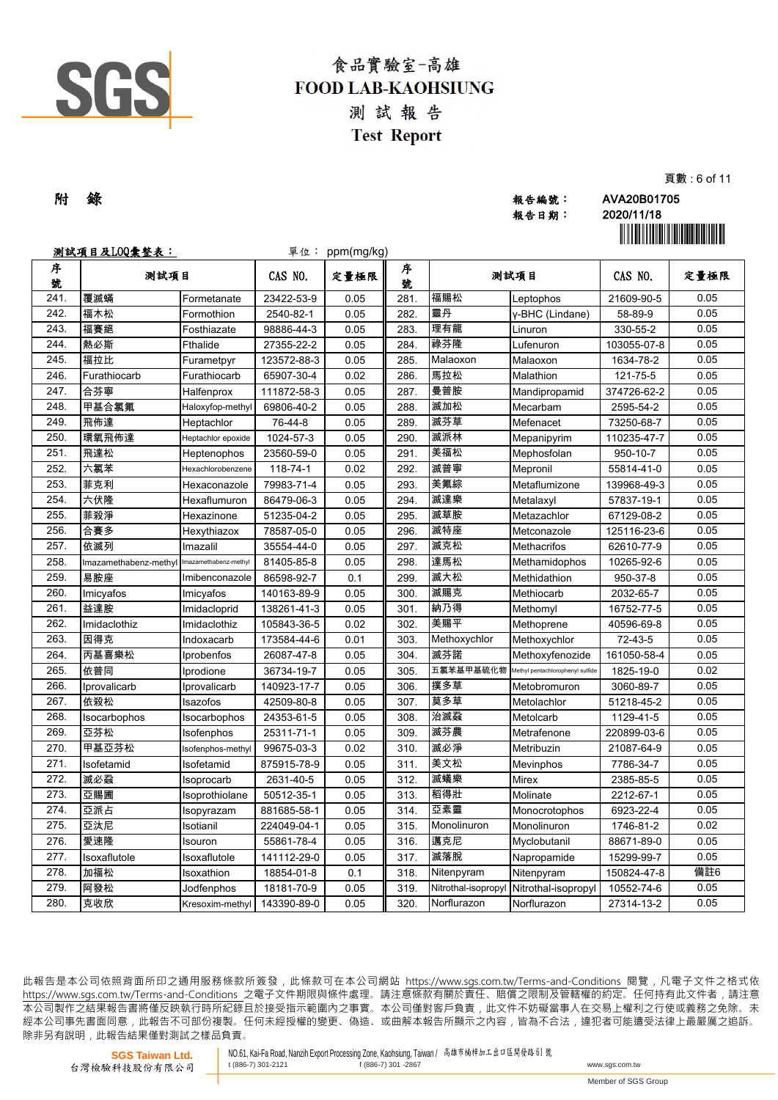

| 附 錄 | 報告編號: | AVA20B01705 |
|-----|-------|-------------|
|     |       |             |
|     | 報告日期: | 2020/11/18  |
|     |       |             |

頁數 : 6 of 11

|        | <u>测試項目及LOQ彙整表:</u>                         |                    | 單位:         | ppm(mg/kg) |        |                    |                                  |             | <u> Hillingan ma'lumot</u> |
|--------|---------------------------------------------|--------------------|-------------|------------|--------|--------------------|----------------------------------|-------------|----------------------------|
| 序<br>號 | 测試項目                                        |                    | CAS NO.     | 定量極限       | 序<br>號 | 测試項目               |                                  | CAS NO.     | 定量極限                       |
| 241.   | 覆滅蟎                                         | Formetanate        | 23422-53-9  | 0.05       | 281.   | 福賜松                | Leptophos                        | 21609-90-5  | 0.05                       |
| 242.   | 福木松                                         | Formothion         | 2540-82-1   | 0.05       | 282.   | 靈丹                 | y-BHC (Lindane)                  | 58-89-9     | 0.05                       |
| 243.   | 福賽絕                                         | Fosthiazate        | 98886-44-3  | 0.05       | 283.   | 理有龍                | Linuron                          | 330-55-2    | 0.05                       |
| 244.   | 熱必斯                                         | <b>Fthalide</b>    | 27355-22-2  | 0.05       | 284.   | 祿芬隆                | Lufenuron                        | 103055-07-8 | 0.05                       |
| 245.   | 福拉比                                         | Furametpyr         | 123572-88-3 | 0.05       | 285.   | Malaoxon           | Malaoxon                         | 1634-78-2   | 0.05                       |
| 246.   | Furathiocarb                                | Furathiocarb       | 65907-30-4  | 0.02       | 286.   | 馬拉松                | Malathion                        | 121-75-5    | 0.05                       |
| 247.   | 合芬寧                                         | Halfenprox         | 111872-58-3 | 0.05       | 287.   | 曼普胺                | Mandipropamid                    | 374726-62-2 | 0.05                       |
| 248.   | 甲基合氯氟                                       | Haloxyfop-methyl   | 69806-40-2  | 0.05       | 288.   | 滅加松                | Mecarbam                         | 2595-54-2   | 0.05                       |
| 249.   | 飛佈達                                         | Heptachlor         | 76-44-8     | 0.05       | 289.   | 滅芬草                | Mefenacet                        | 73250-68-7  | 0.05                       |
| 250.   | 環氧飛佈達                                       | Heptachlor epoxide | 1024-57-3   | 0.05       | 290.   | 滅派林                | Mepanipyrim                      | 110235-47-7 | 0.05                       |
| 251.   | 飛達松                                         | Heptenophos        | 23560-59-0  | 0.05       | 291.   | 美福松                | Mephosfolan                      | 950-10-7    | 0.05                       |
| 252.   | 六氯苯                                         | Hexachlorobenzene  | 118-74-1    | 0.02       | 292.   | 滅普寧                | Mepronil                         | 55814-41-0  | 0.05                       |
| 253.   | 菲克利                                         | Hexaconazole       | 79983-71-4  | 0.05       | 293.   | 美氟綜                | Metaflumizone                    | 139968-49-3 | 0.05                       |
| 254.   | 六伏隆                                         | Hexaflumuron       | 86479-06-3  | 0.05       | 294.   | 滅達樂                | Metalaxyl                        | 57837-19-1  | 0.05                       |
| 255.   | 菲殺淨                                         | Hexazinone         | 51235-04-2  | 0.05       | 295.   | 滅草胺                | Metazachlor                      | 67129-08-2  | 0.05                       |
| 256.   | 合賽多                                         | Hexythiazox        | 78587-05-0  | 0.05       | 296.   | 滅特座                | Metconazole                      | 125116-23-6 | 0.05                       |
| 257.   | 依滅列                                         | Imazalil           | 35554-44-0  | 0.05       | 297.   | 滅克松                | Methacrifos                      | 62610-77-9  | 0.05                       |
| 258.   | Imazamethabenz-methyl Imazamethabenz-methyl |                    | 81405-85-8  | 0.05       | 298.   | 達馬松                | Methamidophos                    | 10265-92-6  | 0.05                       |
| 259.   | 易胺座                                         | Imibenconazole     | 86598-92-7  | 0.1        | 299    | 滅大松                | Methidathion                     | 950-37-8    | 0.05                       |
| 260.   | Imicyafos                                   | Imicyafos          | 140163-89-9 | 0.05       | 300    | 滅賜克                | Methiocarb                       | 2032-65-7   | 0.05                       |
| 261.   | 益達胺                                         | Imidacloprid       | 138261-41-3 | 0.05       | 301.   | 納乃得                | Methomyl                         | 16752-77-5  | 0.05                       |
| 262.   | Imidaclothiz                                | Imidaclothiz       | 105843-36-5 | 0.02       | 302.   | 美賜平                | Methoprene                       | 40596-69-8  | 0.05                       |
| 263.   | 因得克                                         | Indoxacarb         | 173584-44-6 | 0.01       | 303    | Methoxychlor       | Methoxychlor                     | 72-43-5     | 0.05                       |
| 264.   | 丙基喜樂松                                       | Iprobenfos         | 26087-47-8  | 0.05       | 304    | 滅芬諾                | Methoxyfenozide                  | 161050-58-4 | 0.05                       |
| 265.   | 依普同                                         | Iprodione          | 36734-19-7  | 0.05       | 305    | 五氯苯基甲基硫化物          | Methyl pentachlorophenyl sulfide | 1825-19-0   | 0.02                       |
| 266.   | Iprovalicarb                                | Iprovalicarb       | 140923-17-7 | 0.05       | 306.   | 撲多草                | Metobromuron                     | 3060-89-7   | 0.05                       |
| 267.   | 依殺松                                         | Isazofos           | 42509-80-8  | 0.05       | 307.   | 莫多草                | Metolachlor                      | 51218-45-2  | 0.05                       |
| 268.   | Isocarbophos                                | Isocarbophos       | 24353-61-5  | 0.05       | 308.   | 治滅蝨                | Metolcarb                        | 1129-41-5   | 0.05                       |
| 269.   | 亞芬松                                         | Isofenphos         | 25311-71-1  | 0.05       | 309.   | 滅芬農                | Metrafenone                      | 220899-03-6 | 0.05                       |
| 270.   | 甲基亞芬松                                       | Isofenphos-methyl  | 99675-03-3  | 0.02       | 310.   | 滅必淨                | Metribuzin                       | 21087-64-9  | 0.05                       |
| 271.   | Isofetamid                                  | Isofetamid         | 875915-78-9 | 0.05       | 311.   | 美文松                | Mevinphos                        | 7786-34-7   | 0.05                       |
| 272.   | 滅必蝨                                         | Isoprocarb         | 2631-40-5   | 0.05       | 312.   | 滅蟻樂                | Mirex                            | 2385-85-5   | 0.05                       |
| 273.   | 亞賜圃                                         | Isoprothiolane     | 50512-35-1  | 0.05       | 313.   | 稻得壯                | Molinate                         | 2212-67-1   | 0.05                       |
| 274.   | 亞派占                                         | Isopyrazam         | 881685-58-1 | 0.05       | 314.   | 亞素靈                | Monocrotophos                    | 6923-22-4   | 0.05                       |
| 275.   | 亞汰尼                                         | Isotianil          | 224049-04-1 | 0.05       | 315.   | Monolinuron        | Monolinuron                      | 1746-81-2   | 0.02                       |
| 276.   | 愛速隆                                         | Isouron            | 55861-78-4  | 0.05       | 316.   | 邁克尼                | Myclobutanil                     | 88671-89-0  | 0.05                       |
| 277.   | Isoxaflutole                                | Isoxaflutole       | 141112-29-0 | 0.05       | 317.   | 滅落脫                | Napropamide                      | 15299-99-7  | 0.05                       |
| 278.   | 加福松                                         | Isoxathion         | 18854-01-8  | 0.1        | 318.   | Nitenpyram         | Nitenpyram                       | 150824-47-8 | 備註6                        |
| 279.   | 阿發松                                         | Jodfenphos         | 18181-70-9  | 0.05       | 319.   | Nitrothal-isopropy | Nitrothal-isopropyl              | 10552-74-6  | 0.05                       |
| 280.   | 克收欣                                         | Kresoxim-methyl    | 143390-89-0 | 0.05       | 320.   | Norflurazon        | Norflurazon                      | 27314-13-2  | 0.05                       |

此報告是本公司依照背面所印之通用服務條款所簽發,此條款可在本公司網站 https://www.sgs.com.tw/Terms-and-Conditions 閱覽,凡電子文件之格式依 https://www.sqs.com.tw/Terms-and-Conditions 之電子文件期限與條件處理。請注意條款有關於責任、賠償之限制及管轄權的約定。任何持有此文件者,請注意 本 公 司 製 作 之 結 果 報 告 書 將 僅 反 映 執 行 時 所 紀 錄 且 於 接 受 指 示 範 圍 內 之 事 實 。 本 公 司 僅 對 客 戶 負 責 , 此 文 件 不 妨 礙 當 事 人 在 交 易 上 權 利 之 行 使 或 義 務 之 免 除 。 未 經 本 公 司 事 先 書 面 同 意 , 此 報 告 不 可 部 份 複 製 。 任 何 未 經 授 權 的 變 更 、 偽 造 、 或 曲 解 本 報 告 所 顯 示 之 內 容 , 皆 為 不 合 法 , 違 犯 者 可 能 遭 受 法 律 上 最 嚴 厲 之 追 訴 。 除非另有說明, 此報告結果僅對測試之樣品負責。

**SGS Taiwan Ltd.** 台灣檢驗科技股份有限公司 NO.61, Kai-Fa Road, Nanzih Export Processing Zone, Kaohsiung, Taiwan / 高雄市楠梓加工出口區開發路 <sup>61</sup> <sup>號</sup> t  $(886-7)$  301 -2867 www.sgs.com.tw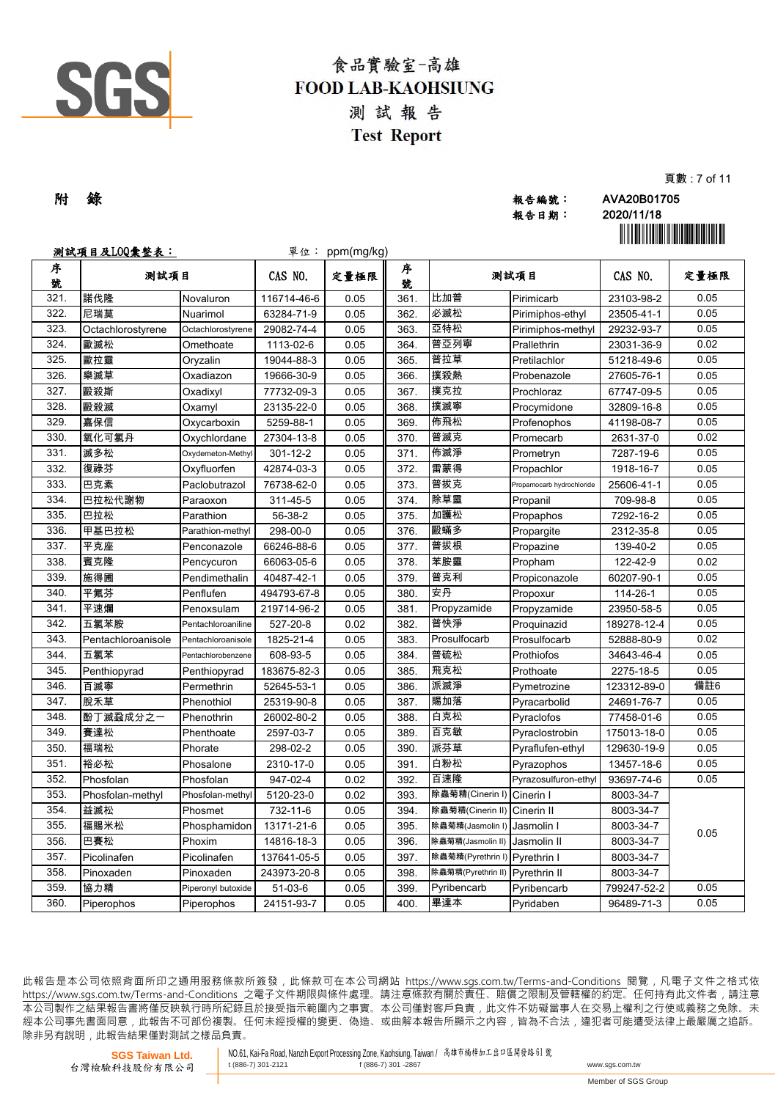

| 附 錄 | 報告編號: | AVA20B01705 |
|-----|-------|-------------|
|     | 報告日期: | 2020/11/18  |
|     |       |             |

頁數 : 7 of 11

|        | <u>测試項目及LOQ彙整表:</u> |                    |             | 單位: ppm(mg/kg) |        |                               |                           |             | <u> Hillingin ma'lumot</u> |
|--------|---------------------|--------------------|-------------|----------------|--------|-------------------------------|---------------------------|-------------|----------------------------|
| 序<br>號 | 测試項目                |                    | CAS NO.     | 定量極限           | 序<br>號 | 测試項目                          |                           | CAS NO.     | 定量極限                       |
| 321.   | 諾伐隆                 | Novaluron          | 116714-46-6 | 0.05           | 361.   | 比加普                           | Pirimicarb                | 23103-98-2  | 0.05                       |
| 322.   | 尼瑞莫                 | Nuarimol           | 63284-71-9  | 0.05           | 362.   | 必滅松                           | Pirimiphos-ethyl          | 23505-41-1  | 0.05                       |
| 323.   | Octachlorostyrene   | Octachlorostyrene  | 29082-74-4  | 0.05           | 363.   | 亞特松                           | Pirimiphos-methyl         | 29232-93-7  | 0.05                       |
| 324.   | 歐滅松                 | Omethoate          | 1113-02-6   | 0.05           | 364.   | 普亞列寧                          | Prallethrin               | 23031-36-9  | 0.02                       |
| 325.   | 歐拉靈                 | Oryzalin           | 19044-88-3  | 0.05           | 365.   | 普拉草                           | Pretilachlor              | 51218-49-6  | 0.05                       |
| 326.   | 樂滅草                 | Oxadiazon          | 19666-30-9  | 0.05           | 366.   | 撲殺熱                           | Probenazole               | 27605-76-1  | 0.05                       |
| 327.   | 毆殺斯                 | Oxadixyl           | 77732-09-3  | 0.05           | 367.   | 撲克拉                           | Prochloraz                | 67747-09-5  | 0.05                       |
| 328.   | 毆殺滅                 | Oxamyl             | 23135-22-0  | 0.05           | 368.   | 撲滅寧                           | Procymidone               | 32809-16-8  | 0.05                       |
| 329.   | 嘉保信                 | Oxycarboxin        | 5259-88-1   | 0.05           | 369.   | 佈飛松                           | Profenophos               | 41198-08-7  | 0.05                       |
| 330.   | 氧化可氯丹               | Oxychlordane       | 27304-13-8  | 0.05           | 370.   | 普滅克                           | Promecarb                 | 2631-37-0   | 0.02                       |
| 331.   | 滅多松                 | Oxydemeton-Methyl  | 301-12-2    | 0.05           | 371.   | 佈滅淨                           | Prometryn                 | 7287-19-6   | 0.05                       |
| 332.   | 復祿芬                 | Oxyfluorfen        | 42874-03-3  | 0.05           | 372.   | 雷蒙得                           | Propachlor                | 1918-16-7   | 0.05                       |
| 333.   | 巴克素                 | Paclobutrazol      | 76738-62-0  | 0.05           | 373.   | 普拔克                           | Propamocarb hydrochloride | 25606-41-1  | 0.05                       |
| 334.   | 巴拉松代謝物              | Paraoxon           | 311-45-5    | 0.05           | 374.   | 除草靈                           | Propanil                  | 709-98-8    | 0.05                       |
| 335.   | 巴拉松                 | Parathion          | 56-38-2     | 0.05           | 375.   | 加護松                           | Propaphos                 | 7292-16-2   | 0.05                       |
| 336.   | 甲基巴拉松               | Parathion-methyl   | 298-00-0    | 0.05           | 376.   | 毆蟎多                           | Propargite                | 2312-35-8   | 0.05                       |
| 337.   | 平克座                 | Penconazole        | 66246-88-6  | 0.05           | 377.   | 普拔根                           | Propazine                 | 139-40-2    | 0.05                       |
| 338.   | 賓克隆                 | Pencycuron         | 66063-05-6  | 0.05           | 378.   | 苯胺靈                           | Propham                   | 122-42-9    | 0.02                       |
| 339.   | 施得圃                 | Pendimethalin      | 40487-42-1  | 0.05           | 379.   | 普克利                           | Propiconazole             | 60207-90-1  | 0.05                       |
| 340.   | 平氟芬                 | Penflufen          | 494793-67-8 | 0.05           | 380.   | 安丹                            | Propoxur                  | 114-26-1    | 0.05                       |
| 341.   | 平速爛                 | Penoxsulam         | 219714-96-2 | 0.05           | 381.   | Propyzamide                   | Propyzamide               | 23950-58-5  | 0.05                       |
| 342.   | 五氯苯胺                | Pentachloroaniline | 527-20-8    | 0.02           | 382.   | 普快淨                           | Proquinazid               | 189278-12-4 | 0.05                       |
| 343.   | Pentachloroanisole  | Pentachloroanisole | 1825-21-4   | 0.05           | 383.   | Prosulfocarb                  | Prosulfocarb              | 52888-80-9  | 0.02                       |
| 344.   | 五氯苯                 | Pentachlorobenzene | 608-93-5    | 0.05           | 384.   | 普硫松                           | Prothiofos                | 34643-46-4  | 0.05                       |
| 345.   | Penthiopyrad        | Penthiopyrad       | 183675-82-3 | 0.05           | 385.   | 飛克松                           | Prothoate                 | 2275-18-5   | 0.05                       |
| 346.   | 百滅寧                 | Permethrin         | 52645-53-1  | 0.05           | 386.   | 派滅淨                           | Pymetrozine               | 123312-89-0 | 備註6                        |
| 347.   | 脫禾草                 | Phenothiol         | 25319-90-8  | 0.05           | 387.   | 賜加落                           | Pyracarbolid              | 24691-76-7  | 0.05                       |
| 348.   | 酚丁滅蝨成分之一            | Phenothrin         | 26002-80-2  | 0.05           | 388.   | 白克松                           | Pyraclofos                | 77458-01-6  | 0.05                       |
| 349.   | 賽達松                 | Phenthoate         | 2597-03-7   | 0.05           | 389.   | 百克敏                           | Pyraclostrobin            | 175013-18-0 | 0.05                       |
| 350.   | 福瑞松                 | Phorate            | 298-02-2    | 0.05           | 390.   | 派芬草                           | Pyraflufen-ethyl          | 129630-19-9 | 0.05                       |
| 351.   | 裕必松                 | Phosalone          | 2310-17-0   | 0.05           | 391.   | 白粉松                           | Pyrazophos                | 13457-18-6  | 0.05                       |
| 352.   | Phosfolan           | Phosfolan          | 947-02-4    | 0.02           | 392.   | 百速隆                           | Pyrazosulfuron-ethyl      | 93697-74-6  | 0.05                       |
| 353.   | Phosfolan-methyl    | Phosfolan-methyl   | 5120-23-0   | 0.02           | 393.   | 除蟲菊精(Cinerin I)               | Cinerin I                 | 8003-34-7   |                            |
| 354.   | 益滅松                 | Phosmet            | 732-11-6    | 0.05           | 394.   | 除蟲菊精(Cinerin II) Cinerin II   |                           | 8003-34-7   |                            |
| 355.   | 福賜米松                | Phosphamidon       | 13171-21-6  | 0.05           | 395.   | 除蟲菊精(Jasmolin I)              | Jasmolin I                | 8003-34-7   | 0.05                       |
| 356.   | 巴賽松                 | Phoxim             | 14816-18-3  | 0.05           | 396.   | 除蟲菊精(Jasmolin II)             | Jasmolin II               | 8003-34-7   |                            |
| 357.   | Picolinafen         | Picolinafen        | 137641-05-5 | 0.05           | 397.   | 除蟲菊精(Pyrethrin I) Pyrethrin I |                           | 8003-34-7   |                            |
| 358.   | Pinoxaden           | Pinoxaden          | 243973-20-8 | 0.05           | 398.   | 除蟲菊精(Pyrethrin II)            | Pyrethrin II              | 8003-34-7   |                            |
| 359.   | 協力精                 | Piperonyl butoxide | $51-03-6$   | 0.05           | 399.   | Pyribencarb                   | Pyribencarb               | 799247-52-2 | 0.05                       |
| 360.   | Piperophos          | Piperophos         | 24151-93-7  | 0.05           | 400.   | 畢達本                           | Pyridaben                 | 96489-71-3  | 0.05                       |

此報告是本公司依照背面所印之通用服務條款所簽發,此條款可在本公司網站 https://www.sgs.com.tw/Terms-and-Conditions 閱覽,凡電子文件之格式依 https://www.sqs.com.tw/Terms-and-Conditions 之電子文件期限與條件處理。請注意條款有關於責任、賠償之限制及管轄權的約定。任何持有此文件者,請注意 本 公 司 製 作 之 結 果 報 告 書 將 僅 反 映 執 行 時 所 紀 錄 且 於 接 受 指 示 範 圍 內 之 事 實 。 本 公 司 僅 對 客 戶 負 責 , 此 文 件 不 妨 礙 當 事 人 在 交 易 上 權 利 之 行 使 或 義 務 之 免 除 。 未 經 本 公 司 事 先 書 面 同 意 , 此 報 告 不 可 部 份 複 製 。 任 何 未 經 授 權 的 變 更 、 偽 造 、 或 曲 解 本 報 告 所 顯 示 之 內 容 , 皆 為 不 合 法 , 違 犯 者 可 能 遭 受 法 律 上 最 嚴 厲 之 追 訴 。 除非另有說明, 此報告結果僅對測試之樣品負責。

**SGS Taiwan Ltd.** 台灣檢驗科技股份有限公司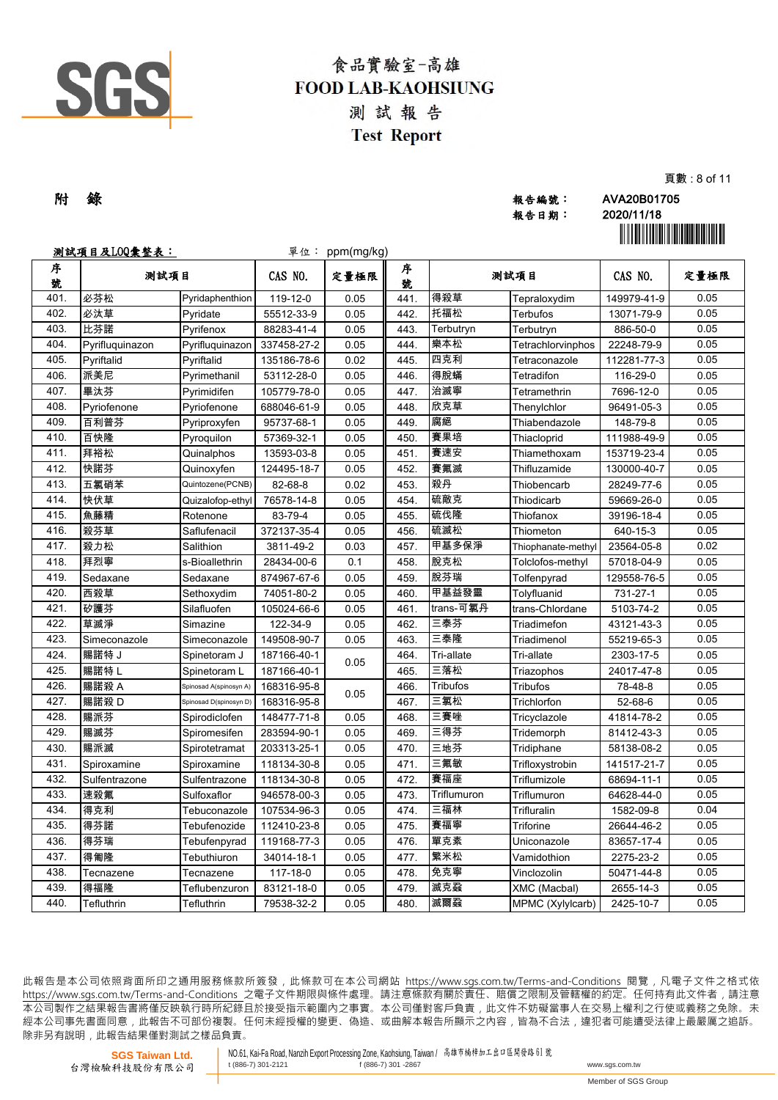

|  |     |       | .                                            |
|--|-----|-------|----------------------------------------------|
|  | 附 錄 | 報告編號: | AVA20B01705                                  |
|  |     | 報告日期: | 2020/11/18                                   |
|  |     |       | <u> Ali oli ali oli ali ali oli ali ali </u> |

頁數 : 8 of 11

|        | 测試項目及LOQ彙整表:    |                        |             | 單位: ppm(mg/kg) |        |                 |                    |             | <u> Hillingin ma'lumot</u> |
|--------|-----------------|------------------------|-------------|----------------|--------|-----------------|--------------------|-------------|----------------------------|
| 序<br>號 | 测試項目            |                        | CAS NO.     | 定量極限           | 序<br>號 |                 | 测試項目               | CAS NO.     | 定量極限                       |
| 401.   | 必芬松             | Pyridaphenthion        | 119-12-0    | 0.05           | 441.   | 得殺草             | Tepraloxydim       | 149979-41-9 | 0.05                       |
| 402.   | 必汰草             | Pyridate               | 55512-33-9  | 0.05           | 442.   | 托福松             | Terbufos           | 13071-79-9  | 0.05                       |
| 403.   | 比芬諾             | Pyrifenox              | 88283-41-4  | 0.05           | 443.   | Terbutryn       | Terbutryn          | 886-50-0    | 0.05                       |
| 404.   | Pyrifluquinazon | Pyrifluquinazon        | 337458-27-2 | 0.05           | 444.   | 樂本松             | Tetrachlorvinphos  | 22248-79-9  | 0.05                       |
| 405.   | Pyriftalid      | Pyriftalid             | 135186-78-6 | 0.02           | 445.   | 四克利             | Tetraconazole      | 112281-77-3 | 0.05                       |
| 406.   | 派美尼             | Pyrimethanil           | 53112-28-0  | 0.05           | 446.   | 得脫蟎             | Tetradifon         | 116-29-0    | 0.05                       |
| 407.   | 畢汰芬             | Pyrimidifen            | 105779-78-0 | 0.05           | 447.   | 治滅寧             | Tetramethrin       | 7696-12-0   | 0.05                       |
| 408.   | Pyriofenone     | Pyriofenone            | 688046-61-9 | 0.05           | 448.   | 欣克草             | Thenylchlor        | 96491-05-3  | 0.05                       |
| 409.   | 百利普芬            | Pyriproxyfen           | 95737-68-1  | 0.05           | 449    | 腐絕              | Thiabendazole      | 148-79-8    | 0.05                       |
| 410.   | 百快隆             | Pyroquilon             | 57369-32-1  | 0.05           | 450.   | 賽果培             | Thiacloprid        | 111988-49-9 | 0.05                       |
| 411.   | 拜裕松             | Quinalphos             | 13593-03-8  | 0.05           | 451.   | 賽速安             | Thiamethoxam       | 153719-23-4 | 0.05                       |
| 412.   | 快諾芬             | Quinoxyfen             | 124495-18-7 | 0.05           | 452.   | 賽氟滅             | Thifluzamide       | 130000-40-7 | 0.05                       |
| 413.   | 五氯硝苯            | Quintozene(PCNB)       | 82-68-8     | 0.02           | 453.   | 殺丹              | Thiobencarb        | 28249-77-6  | 0.05                       |
| 414.   | 快伏草             | Quizalofop-ethyl       | 76578-14-8  | 0.05           | 454.   | 硫敵克             | Thiodicarb         | 59669-26-0  | 0.05                       |
| 415.   | 魚藤精             | Rotenone               | 83-79-4     | 0.05           | 455    | 硫伐隆             | Thiofanox          | 39196-18-4  | 0.05                       |
| 416.   | 殺芬草             | Saflufenacil           | 372137-35-4 | 0.05           | 456    | 硫滅松             | Thiometon          | 640-15-3    | 0.05                       |
| 417.   | 殺力松             | Salithion              | 3811-49-2   | 0.03           | 457.   | 甲基多保淨           | Thiophanate-methyl | 23564-05-8  | 0.02                       |
| 418.   | 拜烈寧             | s-Bioallethrin         | 28434-00-6  | 0.1            | 458    | 脫克松             | Tolclofos-methyl   | 57018-04-9  | 0.05                       |
| 419.   | Sedaxane        | Sedaxane               | 874967-67-6 | 0.05           | 459    | 脫芬瑞             | Tolfenpyrad        | 129558-76-5 | 0.05                       |
| 420.   | 西殺草             | Sethoxydim             | 74051-80-2  | 0.05           | 460.   | 甲基益發靈           | Tolyfluanid        | 731-27-1    | 0.05                       |
| 421.   | 矽護芬             | Silafluofen            | 105024-66-6 | 0.05           | 461.   | trans-可氯丹       | trans-Chlordane    | 5103-74-2   | 0.05                       |
| 422.   | 草滅淨             | Simazine               | 122-34-9    | 0.05           | 462.   | 三泰芬             | Triadimefon        | 43121-43-3  | 0.05                       |
| 423.   | Simeconazole    | Simeconazole           | 149508-90-7 | 0.05           | 463.   | 三泰隆             | Triadimenol        | 55219-65-3  | 0.05                       |
| 424.   | 賜諾特 J           | Spinetoram J           | 187166-40-1 | 0.05           | 464.   | Tri-allate      | Tri-allate         | 2303-17-5   | 0.05                       |
| 425.   | 賜諾特 L           | Spinetoram L           | 187166-40-1 |                | 465    | 三落松             | Triazophos         | 24017-47-8  | 0.05                       |
| 426.   | 賜諾殺 A           | Spinosad A(spinosyn A) | 168316-95-8 | 0.05           | 466.   | <b>Tribufos</b> | Tribufos           | 78-48-8     | 0.05                       |
| 427.   | 賜諾殺 D           | Spinosad D(spinosyn D) | 168316-95-8 |                | 467.   | 三氯松             | Trichlorfon        | 52-68-6     | 0.05                       |
| 428.   | 賜派芬             | Spirodiclofen          | 148477-71-8 | 0.05           | 468.   | 三賽唑             | Tricyclazole       | 41814-78-2  | 0.05                       |
| 429.   | 賜滅芬             | Spiromesifen           | 283594-90-1 | 0.05           | 469.   | 三得芬             | Tridemorph         | 81412-43-3  | 0.05                       |
| 430.   | 賜派滅             | Spirotetramat          | 203313-25-1 | 0.05           | 470.   | 三地芬             | Tridiphane         | 58138-08-2  | 0.05                       |
| 431.   | Spiroxamine     | Spiroxamine            | 118134-30-8 | 0.05           | 471.   | 三氟敏             | Trifloxystrobin    | 141517-21-7 | 0.05                       |
| 432.   | Sulfentrazone   | Sulfentrazone          | 118134-30-8 | 0.05           | 472.   | 賽福座             | Triflumizole       | 68694-11-1  | 0.05                       |
| 433.   | 速殺氟             | Sulfoxaflor            | 946578-00-3 | 0.05           | 473.   | Triflumuron     | Triflumuron        | 64628-44-0  | 0.05                       |
| 434.   | 得克利             | Tebuconazole           | 107534-96-3 | 0.05           | 474.   | 三福林             | Trifluralin        | 1582-09-8   | 0.04                       |
| 435.   | 得芬諾             | Tebufenozide           | 112410-23-8 | 0.05           | 475.   | 賽福寧             | Triforine          | 26644-46-2  | 0.05                       |
| 436.   | 得芬瑞             | Tebufenpyrad           | 119168-77-3 | 0.05           | 476.   | 單克素             | Uniconazole        | 83657-17-4  | 0.05                       |
| 437.   | 得匍隆             | Tebuthiuron            | 34014-18-1  | 0.05           | 477.   | 繁米松             | Vamidothion        | 2275-23-2   | 0.05                       |
| 438.   | Tecnazene       | Tecnazene              | 117-18-0    | 0.05           | 478.   | 免克寧             | Vinclozolin        | 50471-44-8  | 0.05                       |
| 439.   | 得福隆             | Teflubenzuron          | 83121-18-0  | 0.05           | 479.   | 滅克蝨             | XMC (Macbal)       | 2655-14-3   | 0.05                       |
| 440.   | Tefluthrin      | Tefluthrin             | 79538-32-2  | 0.05           | 480.   | 滅爾蝨             | MPMC (Xylylcarb)   | 2425-10-7   | 0.05                       |

此報告是本公司依照背面所印之通用服務條款所簽發,此條款可在本公司網站 https://www.sgs.com.tw/Terms-and-Conditions 閱覽,凡電子文件之格式依 https://www.sqs.com.tw/Terms-and-Conditions 之電子文件期限與條件處理。請注意條款有關於責任、賠償之限制及管轄權的約定。任何持有此文件者,請注意 本 公 司 製 作 之 結 果 報 告 書 將 僅 反 映 執 行 時 所 紀 錄 且 於 接 受 指 示 範 圍 內 之 事 實 。 本 公 司 僅 對 客 戶 負 責 , 此 文 件 不 妨 礙 當 事 人 在 交 易 上 權 利 之 行 使 或 義 務 之 免 除 。 未 經 本 公 司 事 先 書 面 同 意 , 此 報 告 不 可 部 份 複 製 。 任 何 未 經 授 權 的 變 更 、 偽 造 、 或 曲 解 本 報 告 所 顯 示 之 內 容 , 皆 為 不 合 法 , 違 犯 者 可 能 遭 受 法 律 上 最 嚴 厲 之 追 訴 。 除非另有說明, 此報告結果僅對測試之樣品負責。

**SGS Taiwan Ltd.** 台灣檢驗科技股份有限公司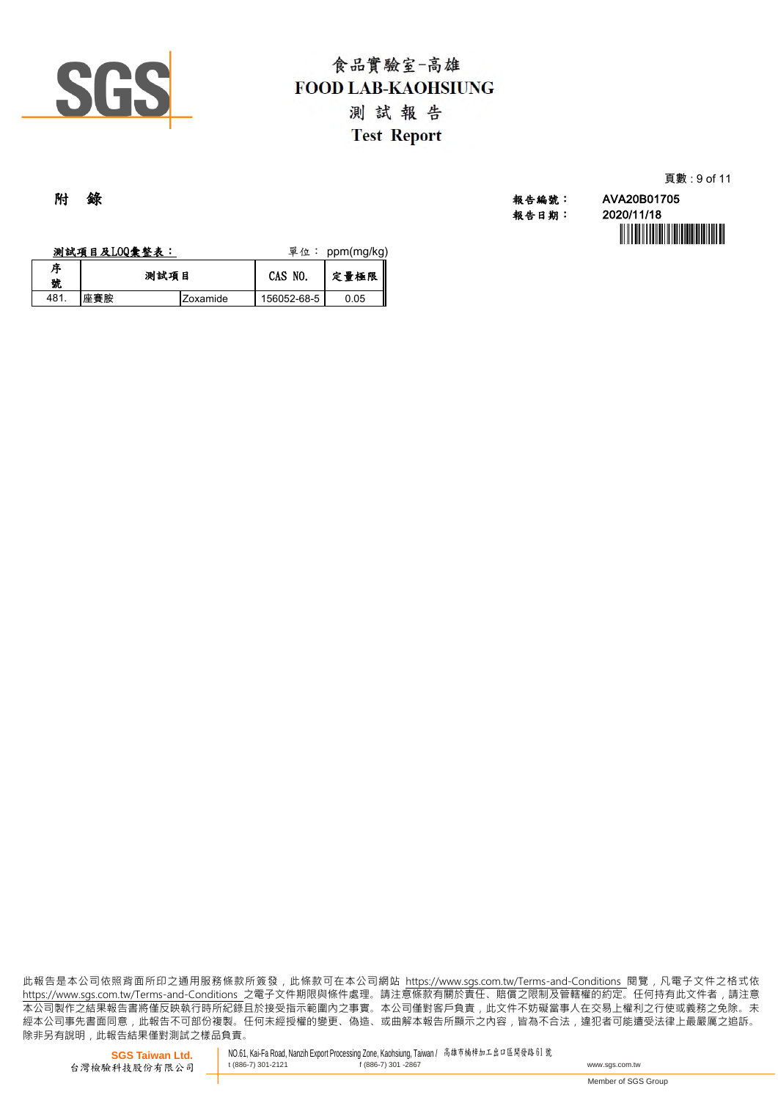

| 頁數 : 9 of 11 |  |  |  |
|--------------|--|--|--|
|              |  |  |  |

附 錄 報告編號: AVA20B01705 報告日期: 2020/11/18

|        | 测試項目及LOQ彙整表: |          | 單位:         | ppm(mg/kg) |
|--------|--------------|----------|-------------|------------|
| 序<br>號 | 测試項目         |          | CAS NO.     | 定量極限       |
| 481.   | 座賽胺          | Zoxamide | 156052-68-5 | 0.05       |

此報告是本公司依照背面所印之通用服務條款所簽發,此條款可在本公司網站 https://www.sgs.com.tw/Terms-and-Conditions 閱覽,凡電子文件之格式ƙ https://www.sgs.com.tw/Terms-and-Conditions 之電子文件期限與條件處理。請注意條款有關於責任、賠償之限制及管轄權的約定。任何持有此文件者,請注意 本公司製作之結果報告書將僅反映執行時所紀錄且於接受指示範圍內之事實。本公司僅對客戶負責﹐此文件不妨礙當事人在交易上權利之行使或義務之免除。礻 經本公司事先書面同意 , 此報告不可部份複製。任何未經授權的變更、偽造、或曲解本報告所顯示之內容 , 皆為不合法 , 違犯者可能遭受法律上最嚴厲之追訴。 除非另有說明﹐此報告結果僅對測試之樣品負責。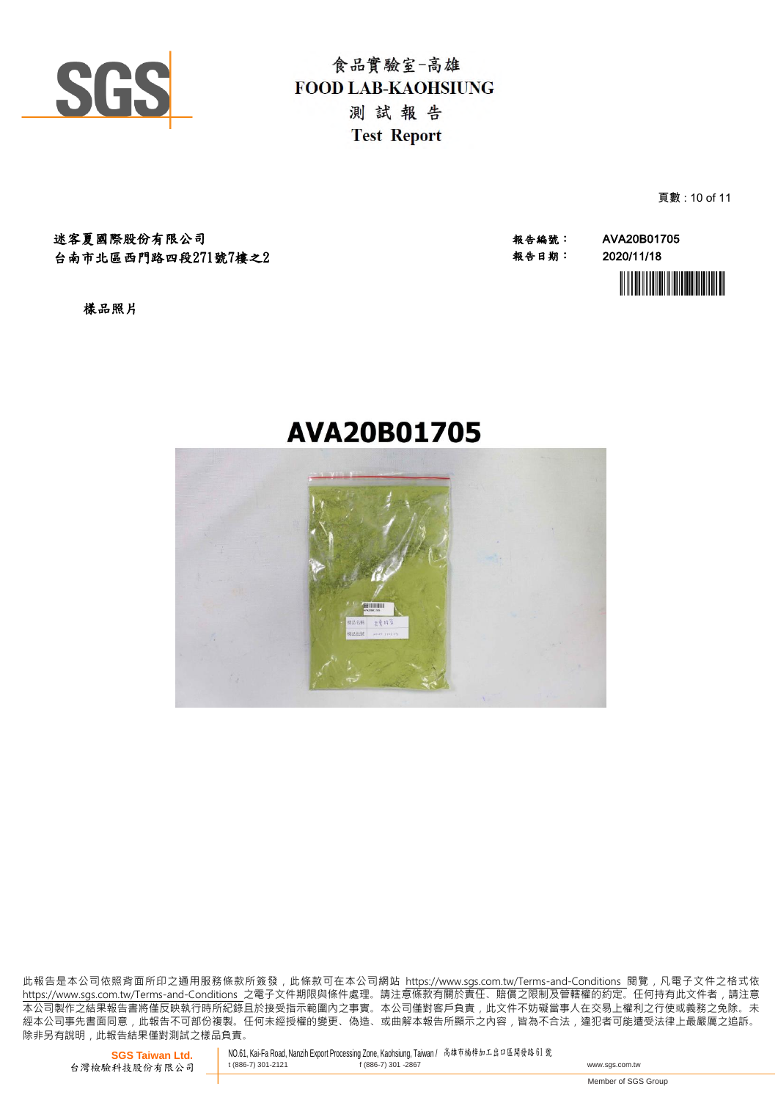

頁數 : 10 of 11

迷客夏國際股份有限公司 報告編號: AVA20B01705 台南市北區西門路四段271號7樓之2

報告日期: 2020/11/18



樣品照片

# **AVA20B01705**



此報告是本公司依照背面所印之通用服務條款所簽發,此條款可在本公司網站 https://www.sgs.com.tw/Terms-and-Conditions 閱覽,凡電子文件之格式依 https://www.sas.com.tw/Terms-and-Conditions 之電子文件期限與條件處理。請注意條款有關於責任、賠償之限制及管轄權的約定。任何持有此文件者,請注意 本 公 司 製 作 之 結 果 報 告 書 將 僅 反 映 執 行 時 所 紀 錄 且 於 接 受 指 示 範 圍 內 之 事 實 。 本 公 司 僅 對 客 戶 負 責 , 此 文 件 不 妨 礙 當 事 人 在 交 易 上 權 利 之 行 使 或 義 務 之 免 除 。 未 經 本 公 司 事 先 書 面 同 意 , 此 報 告 不 可 部 份 複 製 。 任 何 未 經 授 權 的 變 更 、 偽 造 、 或 曲 解 本 報 告 所 顯 示 之 內 容 , 皆 為 不 合 法 , 違 犯 者 可 能 遭 受 法 律 上 最 嚴 厲 之 追 訴 。 除非另有說明, 此報告結果僅對測試之樣品負責。

**SGS Taiwan Ltd.** 台灣檢驗科技股份有限公司 NO.61, Kai-Fa Road, Nanzih Export Processing Zone, Kaohsiung, Taiwan / 高雄市楠梓加工出口區開發路 <sup>61</sup> <sup>號</sup> the state of  $(886-7)$  301-2867 www.sqs.com.tw